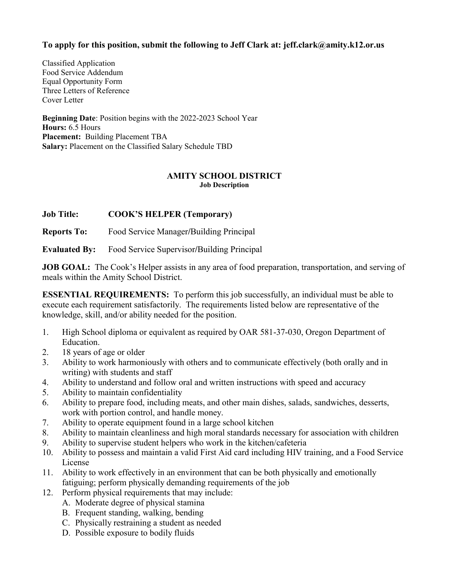# **To apply for this position, submit the following to Jeff Clark at: jeff.clark@amity.k12.or.us**

Classified Application Food Service Addendum Equal Opportunity Form Three Letters of Reference Cover Letter

**Beginning Date**: Position begins with the 2022-2023 School Year **Hours:** 6.5 Hours **Placement:** Building Placement TBA **Salary:** Placement on the Classified Salary Schedule TBD

# **AMITY SCHOOL DISTRICT Job Description**

**Job Title: COOK'S HELPER (Temporary)**

**Reports To:** Food Service Manager**/**Building Principal

**Evaluated By:** Food Service Supervisor**/**Building Principal

**JOB GOAL:** The Cook's Helper assists in any area of food preparation, transportation, and serving of meals within the Amity School District.

**ESSENTIAL REQUIREMENTS:** To perform this job successfully, an individual must be able to execute each requirement satisfactorily. The requirements listed below are representative of the knowledge, skill, and/or ability needed for the position.

- 1. High School diploma or equivalent as required by OAR 581-37-030, Oregon Department of Education.
- 2. 18 years of age or older
- 3. Ability to work harmoniously with others and to communicate effectively (both orally and in writing) with students and staff
- 4. Ability to understand and follow oral and written instructions with speed and accuracy
- 5. Ability to maintain confidentiality
- 6. Ability to prepare food, including meats, and other main dishes, salads, sandwiches, desserts, work with portion control, and handle money.
- 7. Ability to operate equipment found in a large school kitchen
- 8. Ability to maintain cleanliness and high moral standards necessary for association with children
- 9. Ability to supervise student helpers who work in the kitchen/cafeteria
- 10. Ability to possess and maintain a valid First Aid card including HIV training, and a Food Service License
- 11. Ability to work effectively in an environment that can be both physically and emotionally fatiguing; perform physically demanding requirements of the job
- 12. Perform physical requirements that may include:
	- A. Moderate degree of physical stamina
	- B. Frequent standing, walking, bending
	- C. Physically restraining a student as needed
	- D. Possible exposure to bodily fluids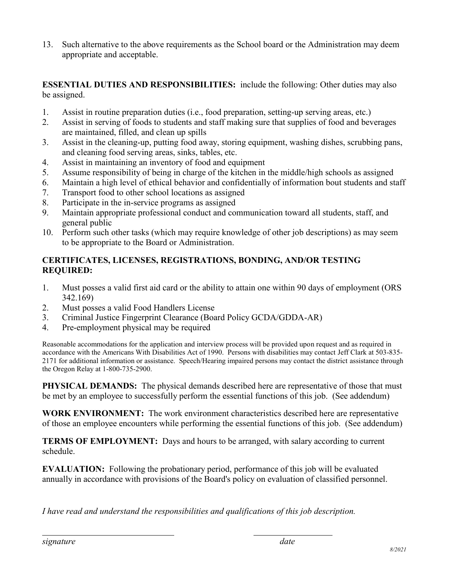13. Such alternative to the above requirements as the School board or the Administration may deem appropriate and acceptable.

**ESSENTIAL DUTIES AND RESPONSIBILITIES:** include the following: Other duties may also be assigned.

- 1. Assist in routine preparation duties (i.e., food preparation, setting-up serving areas, etc.)
- 2. Assist in serving of foods to students and staff making sure that supplies of food and beverages are maintained, filled, and clean up spills
- 3. Assist in the cleaning-up, putting food away, storing equipment, washing dishes, scrubbing pans, and cleaning food serving areas, sinks, tables, etc.
- 4. Assist in maintaining an inventory of food and equipment
- 5. Assume responsibility of being in charge of the kitchen in the middle/high schools as assigned
- 6. Maintain a high level of ethical behavior and confidentially of information bout students and staff
- 7. Transport food to other school locations as assigned
- 8. Participate in the in-service programs as assigned
- 9. Maintain appropriate professional conduct and communication toward all students, staff, and general public
- 10. Perform such other tasks (which may require knowledge of other job descriptions) as may seem to be appropriate to the Board or Administration.

# **CERTIFICATES, LICENSES, REGISTRATIONS, BONDING, AND/OR TESTING REQUIRED:**

- 1. Must posses a valid first aid card or the ability to attain one within 90 days of employment (ORS 342.169)
- 2. Must posses a valid Food Handlers License
- 3. Criminal Justice Fingerprint Clearance (Board Policy GCDA/GDDA-AR)
- 4. Pre-employment physical may be required

Reasonable accommodations for the application and interview process will be provided upon request and as required in accordance with the Americans With Disabilities Act of 1990. Persons with disabilities may contact Jeff Clark at 503-835- 2171 for additional information or assistance. Speech/Hearing impaired persons may contact the district assistance through the Oregon Relay at 1-800-735-2900.

**PHYSICAL DEMANDS:** The physical demands described here are representative of those that must be met by an employee to successfully perform the essential functions of this job. (See addendum)

**WORK ENVIRONMENT:** The work environment characteristics described here are representative of those an employee encounters while performing the essential functions of this job. (See addendum)

**TERMS OF EMPLOYMENT:** Days and hours to be arranged, with salary according to current schedule.

**EVALUATION:** Following the probationary period, performance of this job will be evaluated annually in accordance with provisions of the Board's policy on evaluation of classified personnel.

*I have read and understand the responsibilities and qualifications of this job description.*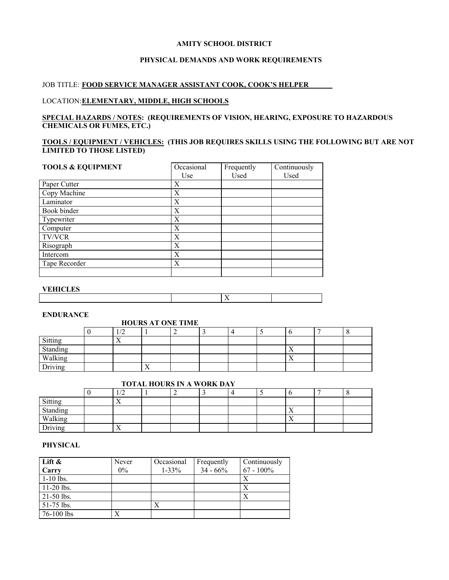#### **AMITY SCHOOL DISTRICT**

## **PHYSICAL DEMANDS AND WORK REQUIREMENTS**

# JOB TITLE: **FOOD SERVICE MANAGER ASSISTANT COOK, COOK'S HELPER**

## LOCATION:**ELEMENTARY, MIDDLE, HIGH SCHOOLS**

#### **SPECIAL HAZARDS / NOTES: (REQUIREMENTS OF VISION, HEARING, EXPOSURE TO HAZARDOUS CHEMICALS OR FUMES, ETC.)**

# **TOOLS / EQUIPMENT / VEHICLES: (THIS JOB REQUIRES SKILLS USING THE FOLLOWING BUT ARE NOT LIMITED TO THOSE LISTED)**

| <b>TOOLS &amp; EQUIPMENT</b> | Occasional | Frequently | Continuously |
|------------------------------|------------|------------|--------------|
|                              | Use        | Used       | Used         |
| Paper Cutter                 | X          |            |              |
| Copy Machine                 | X          |            |              |
| Laminator                    | X          |            |              |
| Book binder                  | X          |            |              |
| Typewriter                   | X          |            |              |
| Computer                     | X          |            |              |
| <b>TV/VCR</b>                | X          |            |              |
| Risograph                    | X          |            |              |
| Intercom                     | X          |            |              |
| Tape Recorder                | X          |            |              |
|                              |            |            |              |

## **VEHICLES**

# X

### **ENDURANCE**

## **HOURS AT ONE TIME**

|                                | $\sqrt{2}$<br>1/L |                |  |  |                |  |
|--------------------------------|-------------------|----------------|--|--|----------------|--|
| Sitting                        | $\overline{ }$    |                |  |  |                |  |
|                                |                   |                |  |  | $\overline{ }$ |  |
|                                |                   |                |  |  | $\overline{ }$ |  |
| Standing<br>Walking<br>Driving |                   | $\overline{ }$ |  |  |                |  |

# **TOTAL HOURS IN A WORK DAY**

|                     | $\sqrt{2}$<br>- 12 |  |  |                |  |
|---------------------|--------------------|--|--|----------------|--|
|                     | $\lambda$          |  |  |                |  |
| Sitting<br>Standing |                    |  |  | $\overline{ }$ |  |
| Walking<br>Driving  |                    |  |  | $\lambda$      |  |
|                     | $\lambda$          |  |  |                |  |

## **PHYSICAL**

| Lift $\&$    | Never | Occasional | Frequently  | Continuously |
|--------------|-------|------------|-------------|--------------|
| Carry        | $0\%$ | $1 - 33\%$ | $34 - 66\%$ | $67 - 100\%$ |
| $1-10$ lbs.  |       |            |             | Х            |
| $11-20$ lbs. |       |            |             | Х            |
| $21-50$ lbs. |       |            |             |              |
| $51-75$ lbs. |       |            |             |              |
| 76-100 lbs   |       |            |             |              |